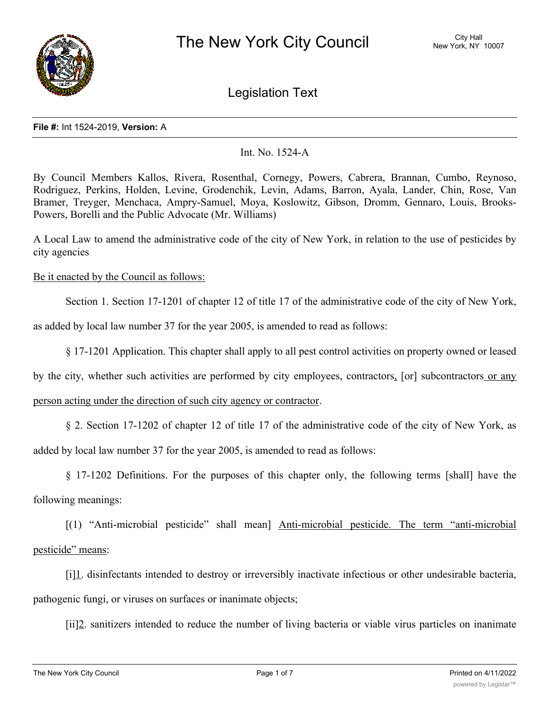

Legislation Text

#### **File #:** Int 1524-2019, **Version:** A

# Int. No. 1524-A

By Council Members Kallos, Rivera, Rosenthal, Cornegy, Powers, Cabrera, Brannan, Cumbo, Reynoso, Rodriguez, Perkins, Holden, Levine, Grodenchik, Levin, Adams, Barron, Ayala, Lander, Chin, Rose, Van Bramer, Treyger, Menchaca, Ampry-Samuel, Moya, Koslowitz, Gibson, Dromm, Gennaro, Louis, Brooks-Powers, Borelli and the Public Advocate (Mr. Williams)

A Local Law to amend the administrative code of the city of New York, in relation to the use of pesticides by city agencies

# Be it enacted by the Council as follows:

Section 1. Section 17-1201 of chapter 12 of title 17 of the administrative code of the city of New York,

as added by local law number 37 for the year 2005, is amended to read as follows:

§ 17-1201 Application. This chapter shall apply to all pest control activities on property owned or leased

by the city, whether such activities are performed by city employees, contractors, [or] subcontractors or any

person acting under the direction of such city agency or contractor.

§ 2. Section 17-1202 of chapter 12 of title 17 of the administrative code of the city of New York, as added by local law number 37 for the year 2005, is amended to read as follows:

§ 17-1202 Definitions. For the purposes of this chapter only, the following terms [shall] have the following meanings:

[(1) "Anti-microbial pesticide" shall mean] Anti-microbial pesticide. The term "anti-microbial pesticide" means:

[i]1. disinfectants intended to destroy or irreversibly inactivate infectious or other undesirable bacteria, pathogenic fungi, or viruses on surfaces or inanimate objects;

[ii]2. sanitizers intended to reduce the number of living bacteria or viable virus particles on inanimate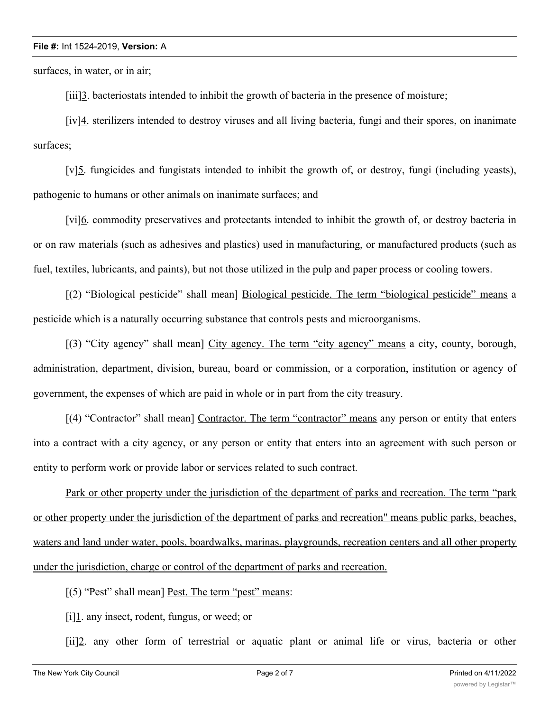## **File #:** Int 1524-2019, **Version:** A

surfaces, in water, or in air;

[iii]3. bacteriostats intended to inhibit the growth of bacteria in the presence of moisture;

[iv]4. sterilizers intended to destroy viruses and all living bacteria, fungi and their spores, on inanimate surfaces;

[v]5. fungicides and fungistats intended to inhibit the growth of, or destroy, fungi (including yeasts), pathogenic to humans or other animals on inanimate surfaces; and

[vi]6. commodity preservatives and protectants intended to inhibit the growth of, or destroy bacteria in or on raw materials (such as adhesives and plastics) used in manufacturing, or manufactured products (such as fuel, textiles, lubricants, and paints), but not those utilized in the pulp and paper process or cooling towers.

[(2) "Biological pesticide" shall mean] Biological pesticide. The term "biological pesticide" means a pesticide which is a naturally occurring substance that controls pests and microorganisms.

[(3) "City agency" shall mean] City agency. The term "city agency" means a city, county, borough, administration, department, division, bureau, board or commission, or a corporation, institution or agency of government, the expenses of which are paid in whole or in part from the city treasury.

[(4) "Contractor" shall mean] Contractor. The term "contractor" means any person or entity that enters into a contract with a city agency, or any person or entity that enters into an agreement with such person or entity to perform work or provide labor or services related to such contract.

Park or other property under the jurisdiction of the department of parks and recreation. The term "park or other property under the jurisdiction of the department of parks and recreation" means public parks, beaches, waters and land under water, pools, boardwalks, marinas, playgrounds, recreation centers and all other property under the jurisdiction, charge or control of the department of parks and recreation.

[(5) "Pest" shall mean] Pest. The term "pest" means:

[i]1. any insect, rodent, fungus, or weed; or

[ii]2. any other form of terrestrial or aquatic plant or animal life or virus, bacteria or other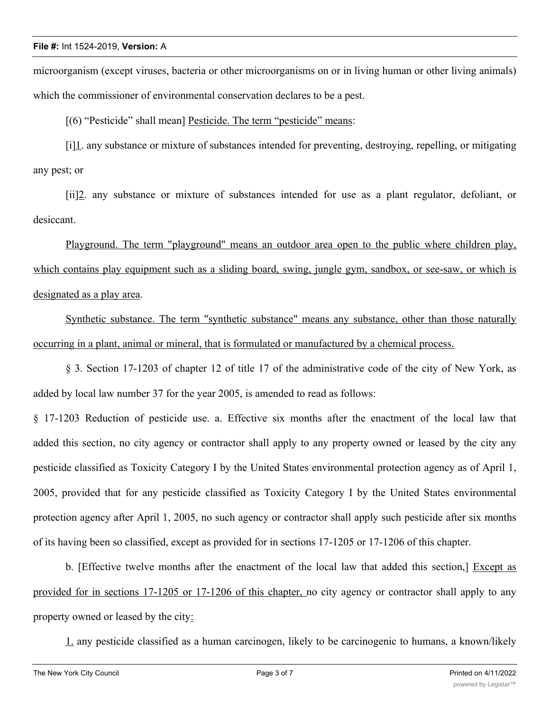microorganism (except viruses, bacteria or other microorganisms on or in living human or other living animals) which the commissioner of environmental conservation declares to be a pest.

[(6) "Pesticide" shall mean] Pesticide. The term "pesticide" means:

[i][1]. any substance or mixture of substances intended for preventing, destroying, repelling, or mitigating any pest; or

[ii]2. any substance or mixture of substances intended for use as a plant regulator, defoliant, or desiccant.

Playground. The term "playground" means an outdoor area open to the public where children play, which contains play equipment such as a sliding board, swing, jungle gym, sandbox, or see-saw, or which is designated as a play area.

Synthetic substance. The term "synthetic substance" means any substance, other than those naturally occurring in a plant, animal or mineral, that is formulated or manufactured by a chemical process.

§ 3. Section 17-1203 of chapter 12 of title 17 of the administrative code of the city of New York, as added by local law number 37 for the year 2005, is amended to read as follows:

§ 17-1203 Reduction of pesticide use. a. Effective six months after the enactment of the local law that added this section, no city agency or contractor shall apply to any property owned or leased by the city any pesticide classified as Toxicity Category I by the United States environmental protection agency as of April 1, 2005, provided that for any pesticide classified as Toxicity Category I by the United States environmental protection agency after April 1, 2005, no such agency or contractor shall apply such pesticide after six months of its having been so classified, except as provided for in sections 17-1205 or 17-1206 of this chapter.

b. [Effective twelve months after the enactment of the local law that added this section,] Except as provided for in sections 17-1205 or 17-1206 of this chapter, no city agency or contractor shall apply to any property owned or leased by the city:

1. any pesticide classified as a human carcinogen, likely to be carcinogenic to humans, a known/likely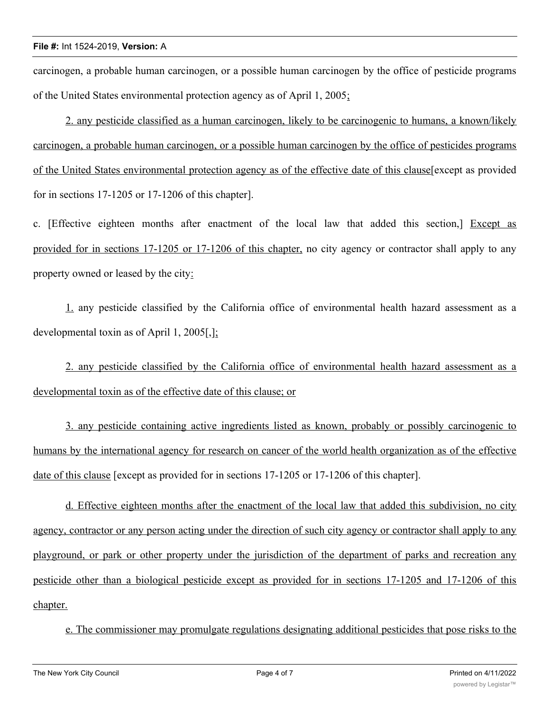carcinogen, a probable human carcinogen, or a possible human carcinogen by the office of pesticide programs of the United States environmental protection agency as of April 1, 2005;

2. any pesticide classified as a human carcinogen, likely to be carcinogenic to humans, a known/likely carcinogen, a probable human carcinogen, or a possible human carcinogen by the office of pesticides programs of the United States environmental protection agency as of the effective date of this clause[except as provided for in sections 17-1205 or 17-1206 of this chapter].

c. [Effective eighteen months after enactment of the local law that added this section,] Except as provided for in sections 17-1205 or 17-1206 of this chapter, no city agency or contractor shall apply to any property owned or leased by the city:

1. any pesticide classified by the California office of environmental health hazard assessment as a developmental toxin as of April 1, 2005[,];

2. any pesticide classified by the California office of environmental health hazard assessment as a developmental toxin as of the effective date of this clause; or

3. any pesticide containing active ingredients listed as known, probably or possibly carcinogenic to humans by the international agency for research on cancer of the world health organization as of the effective date of this clause [except as provided for in sections 17-1205 or 17-1206 of this chapter].

d. Effective eighteen months after the enactment of the local law that added this subdivision, no city agency, contractor or any person acting under the direction of such city agency or contractor shall apply to any playground, or park or other property under the jurisdiction of the department of parks and recreation any pesticide other than a biological pesticide except as provided for in sections 17-1205 and 17-1206 of this chapter.

e. The commissioner may promulgate regulations designating additional pesticides that pose risks to the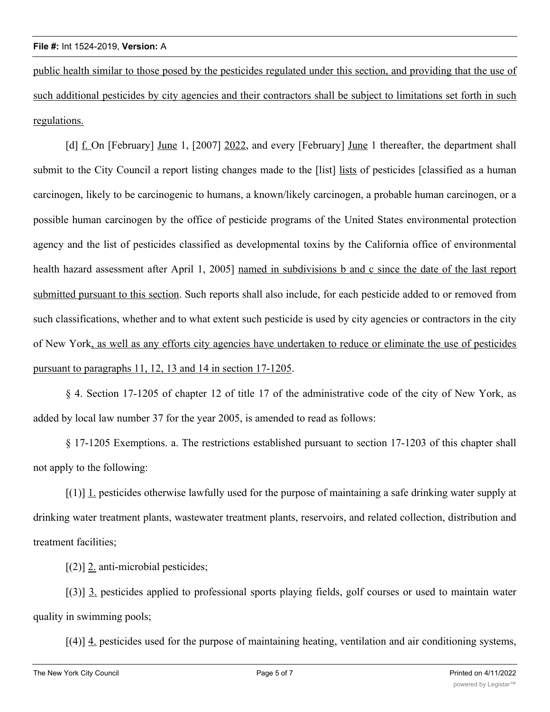public health similar to those posed by the pesticides regulated under this section, and providing that the use of such additional pesticides by city agencies and their contractors shall be subject to limitations set forth in such regulations.

[d] f. On [February] June 1, [2007] 2022, and every [February] June 1 thereafter, the department shall submit to the City Council a report listing changes made to the [list] lists of pesticides [classified as a human carcinogen, likely to be carcinogenic to humans, a known/likely carcinogen, a probable human carcinogen, or a possible human carcinogen by the office of pesticide programs of the United States environmental protection agency and the list of pesticides classified as developmental toxins by the California office of environmental health hazard assessment after April 1, 2005] named in subdivisions b and c since the date of the last report submitted pursuant to this section. Such reports shall also include, for each pesticide added to or removed from such classifications, whether and to what extent such pesticide is used by city agencies or contractors in the city of New York, as well as any efforts city agencies have undertaken to reduce or eliminate the use of pesticides pursuant to paragraphs 11, 12, 13 and 14 in section 17-1205.

§ 4. Section 17-1205 of chapter 12 of title 17 of the administrative code of the city of New York, as added by local law number 37 for the year 2005, is amended to read as follows:

§ 17-1205 Exemptions. a. The restrictions established pursuant to section 17-1203 of this chapter shall not apply to the following:

 $[(1)]$  1. pesticides otherwise lawfully used for the purpose of maintaining a safe drinking water supply at drinking water treatment plants, wastewater treatment plants, reservoirs, and related collection, distribution and treatment facilities;

[(2)] 2. anti-microbial pesticides;

[(3)] 3. pesticides applied to professional sports playing fields, golf courses or used to maintain water quality in swimming pools;

 $[(4)]$   $\underline{4}$  pesticides used for the purpose of maintaining heating, ventilation and air conditioning systems,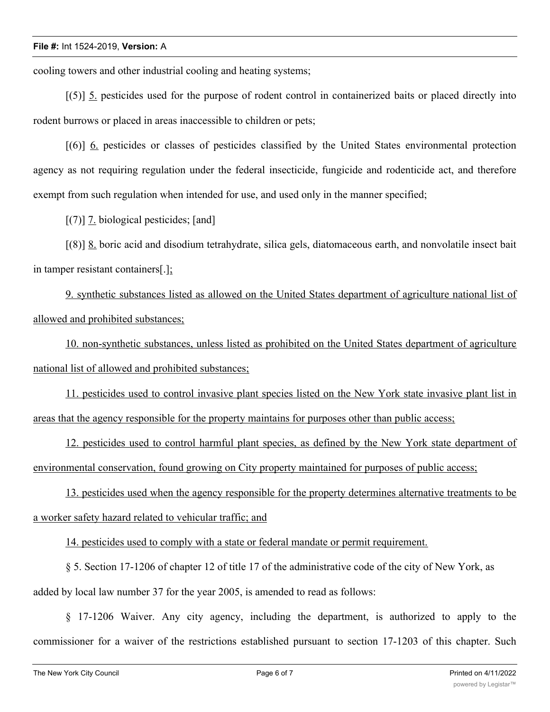## **File #:** Int 1524-2019, **Version:** A

cooling towers and other industrial cooling and heating systems;

[(5)] 5. pesticides used for the purpose of rodent control in containerized baits or placed directly into rodent burrows or placed in areas inaccessible to children or pets;

[(6)] 6. pesticides or classes of pesticides classified by the United States environmental protection agency as not requiring regulation under the federal insecticide, fungicide and rodenticide act, and therefore exempt from such regulation when intended for use, and used only in the manner specified;

[(7)] 7. biological pesticides; [and]

[(8)] 8. boric acid and disodium tetrahydrate, silica gels, diatomaceous earth, and nonvolatile insect bait in tamper resistant containers[.];

9. synthetic substances listed as allowed on the United States department of agriculture national list of allowed and prohibited substances;

10. non-synthetic substances, unless listed as prohibited on the United States department of agriculture national list of allowed and prohibited substances;

11. pesticides used to control invasive plant species listed on the New York state invasive plant list in areas that the agency responsible for the property maintains for purposes other than public access;

12. pesticides used to control harmful plant species, as defined by the New York state department of environmental conservation, found growing on City property maintained for purposes of public access;

13. pesticides used when the agency responsible for the property determines alternative treatments to be a worker safety hazard related to vehicular traffic; and

14. pesticides used to comply with a state or federal mandate or permit requirement.

§ 5. Section 17-1206 of chapter 12 of title 17 of the administrative code of the city of New York, as added by local law number 37 for the year 2005, is amended to read as follows:

§ 17-1206 Waiver. Any city agency, including the department, is authorized to apply to the commissioner for a waiver of the restrictions established pursuant to section 17-1203 of this chapter. Such